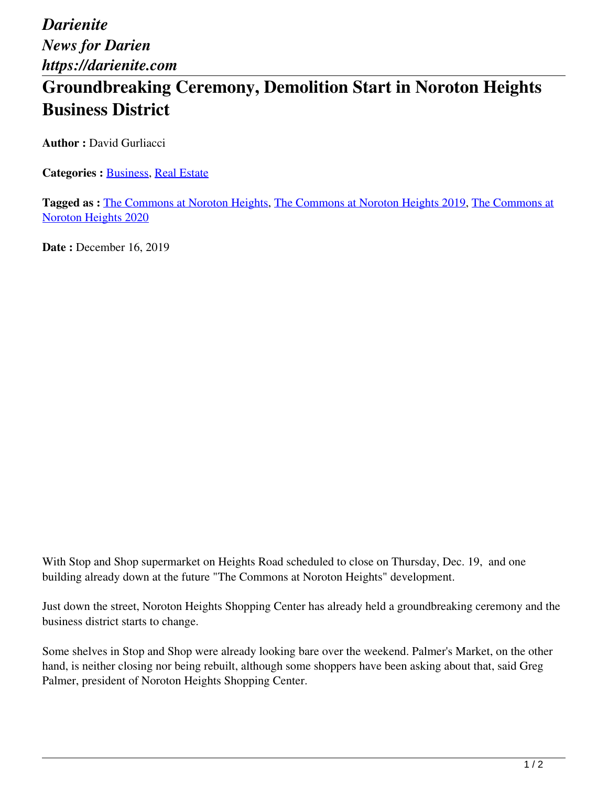*Darienite News for Darien https://darienite.com*

## **Groundbreaking Ceremony, Demolition Start in Noroton Heights Business District**

**Author :** David Gurliacci

**Categories : [Business,](https://darienite.com/category/business) Real Estate** 

**Tagged as :** The Commons at Noroton Heights, The Commons at Noroton Heights 2019, The Commons at Noroton Heights 2020

**Date : December 16, 2019** 

With Stop and Shop supermarket on Heights Road scheduled to close on Thursday, Dec. 19, and one building already down at the future "The Commons at Noroton Heights" development.

Just down the street, Noroton Heights Shopping Center has already held a groundbreaking ceremony and the business district starts to change.

Some shelves in Stop and Shop were already looking bare over the weekend. Palmer's Market, on the other hand, is neither closing nor being rebuilt, although some shoppers have been asking about that, said Greg Palmer, president of Noroton Heights Shopping Center.